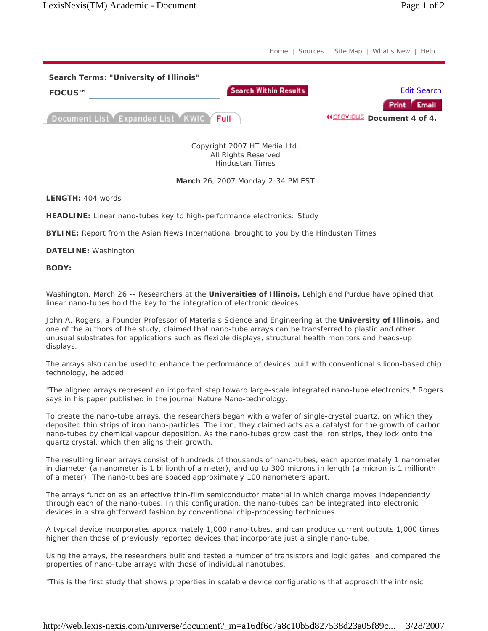Home | Sources | Site Map | What's New | Help



Copyright 2007 HT Media Ltd. All Rights Reserved Hindustan Times

## **March** 26, 2007 Monday 2:34 PM EST

**LENGTH:** 404 words

**HEADLINE:** Linear nano-tubes key to high-performance electronics: Study

**BYLINE:** Report from the Asian News International brought to you by the Hindustan Times

**DATELINE:** Washington

**BODY:**

Washington, March 26 -- Researchers at the **Universities of Illinois,** Lehigh and Purdue have opined that linear nano-tubes hold the key to the integration of electronic devices.

John A. Rogers, a Founder Professor of Materials Science and Engineering at the **University of Illinois,** and one of the authors of the study, claimed that nano-tube arrays can be transferred to plastic and other unusual substrates for applications such as flexible displays, structural health monitors and heads-up displays.

The arrays also can be used to enhance the performance of devices built with conventional silicon-based chip technology, he added.

"The aligned arrays represent an important step toward large-scale integrated nano-tube electronics," Rogers says in his paper published in the journal Nature Nano-technology.

To create the nano-tube arrays, the researchers began with a wafer of single-crystal quartz, on which they deposited thin strips of iron nano-particles. The iron, they claimed acts as a catalyst for the growth of carbon nano-tubes by chemical vapour deposition. As the nano-tubes grow past the iron strips, they lock onto the quartz crystal, which then aligns their growth.

The resulting linear arrays consist of hundreds of thousands of nano-tubes, each approximately 1 nanometer in diameter (a nanometer is 1 billionth of a meter), and up to 300 microns in length (a micron is 1 millionth of a meter). The nano-tubes are spaced approximately 100 nanometers apart.

The arrays function as an effective thin-film semiconductor material in which charge moves independently through each of the nano-tubes. In this configuration, the nano-tubes can be integrated into electronic devices in a straightforward fashion by conventional chip-processing techniques.

A typical device incorporates approximately 1,000 nano-tubes, and can produce current outputs 1,000 times higher than those of previously reported devices that incorporate just a single nano-tube.

Using the arrays, the researchers built and tested a number of transistors and logic gates, and compared the properties of nano-tube arrays with those of individual nanotubes.

"This is the first study that shows properties in scalable device configurations that approach the intrinsic